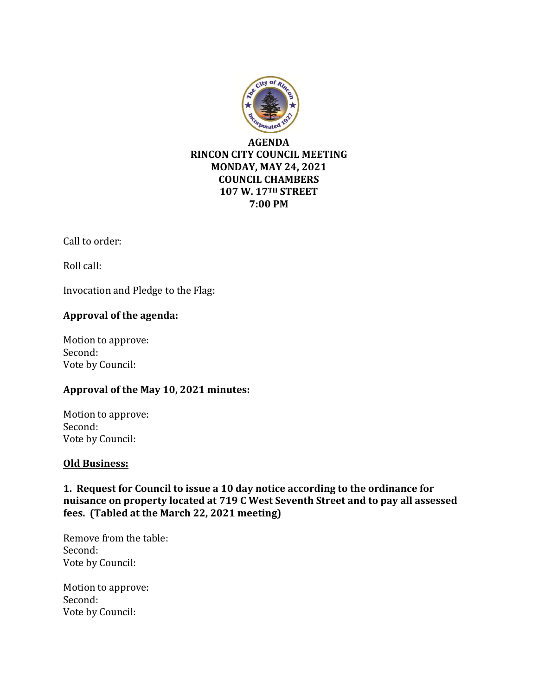

Call to order:

Roll call:

Invocation and Pledge to the Flag:

## **Approval of the agenda:**

Motion to approve: Second: Vote by Council:

#### **Approval of the May 10, 2021 minutes:**

Motion to approve: Second: Vote by Council:

#### **Old Business:**

**1. Request for Council to issue a 10 day notice according to the ordinance for nuisance on property located at 719 C West Seventh Street and to pay all assessed fees. (Tabled at the March 22, 2021 meeting)**

Remove from the table: Second: Vote by Council:

Motion to approve: Second: Vote by Council: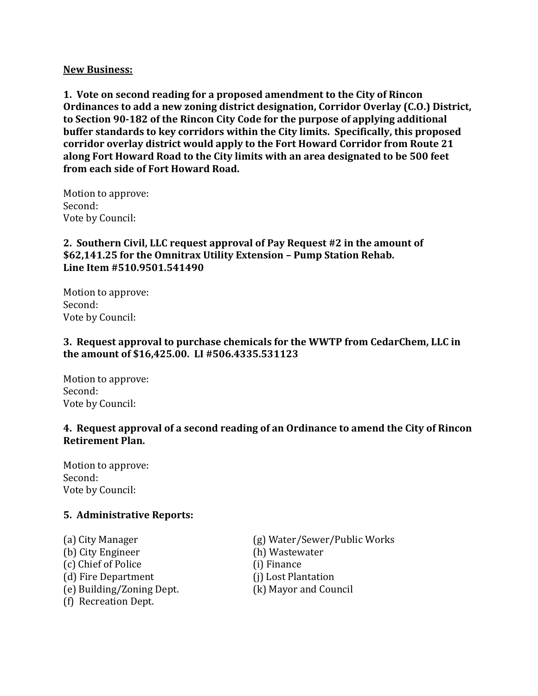#### **New Business:**

**1. Vote on second reading for a proposed amendment to the City of Rincon Ordinances to add a new zoning district designation, Corridor Overlay (C.O.) District, to Section 90-182 of the Rincon City Code for the purpose of applying additional buffer standards to key corridors within the City limits. Specifically, this proposed corridor overlay district would apply to the Fort Howard Corridor from Route 21 along Fort Howard Road to the City limits with an area designated to be 500 feet from each side of Fort Howard Road.** 

Motion to approve: Second: Vote by Council:

## **2. Southern Civil, LLC request approval of Pay Request #2 in the amount of \$62,141.25 for the Omnitrax Utility Extension – Pump Station Rehab. Line Item #510.9501.541490**

Motion to approve: Second: Vote by Council:

### **3. Request approval to purchase chemicals for the WWTP from CedarChem, LLC in the amount of \$16,425.00. LI #506.4335.531123**

Motion to approve: Second: Vote by Council:

#### **4. Request approval of a second reading of an Ordinance to amend the City of Rincon Retirement Plan.**

Motion to approve: Second: Vote by Council:

#### **5. Administrative Reports:**

(b) City Engineer (h) Wastewater (c) Chief of Police (i) Finance (d) Fire Department (i) Lost Plantation (e) Building/Zoning Dept. (k) Mayor and Council (f) Recreation Dept.

(a) City Manager (g) Water/Sewer/Public Works

- 
- 
- 
-